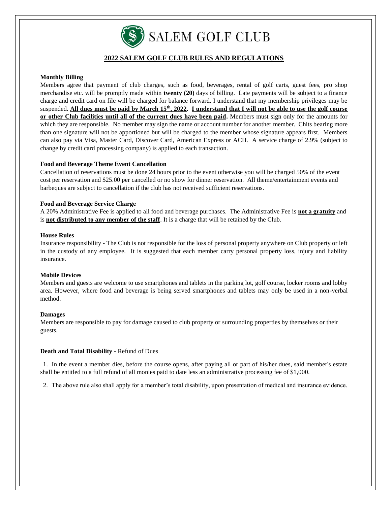

# **2022 SALEM GOLF CLUB RULES AND REGULATIONS**

# **Monthly Billing**

Members agree that payment of club charges, such as food, beverages, rental of golf carts, guest fees, pro shop merchandise etc. will be promptly made within **twenty (20)** days of billing. Late payments will be subject to a finance charge and credit card on file will be charged for balance forward. I understand that my membership privileges may be suspended. **All dues must be paid by March 15th, 2022. I understand that I will not be able to use the golf course or other Club facilities until all of the current dues have been paid.** Members must sign only for the amounts for which they are responsible. No member may sign the name or account number for another member. Chits bearing more than one signature will not be apportioned but will be charged to the member whose signature appears first. Members can also pay via Visa, Master Card, Discover Card, American Express or ACH. A service charge of 2.9% (subject to change by credit card processing company) is applied to each transaction.

## **Food and Beverage Theme Event Cancellation**

Cancellation of reservations must be done 24 hours prior to the event otherwise you will be charged 50% of the event cost per reservation and \$25.00 per cancelled or no show for dinner reservation. All theme/entertainment events and barbeques are subject to cancellation if the club has not received sufficient reservations.

## **Food and Beverage Service Charge**

A 20% Administrative Fee is applied to all food and beverage purchases. The Administrative Fee is **not a gratuity** and is **not distributed to any member of the staff**. It is a charge that will be retained by the Club.

#### **House Rules**

Insurance responsibility - The Club is not responsible for the loss of personal property anywhere on Club property or left in the custody of any employee. It is suggested that each member carry personal property loss, injury and liability insurance.

## **Mobile Devices**

Members and guests are welcome to use smartphones and tablets in the parking lot, golf course, locker rooms and lobby area. However, where food and beverage is being served smartphones and tablets may only be used in a non-verbal method.

## **Damages**

Members are responsible to pay for damage caused to club property or surrounding properties by themselves or their guests.

## **Death and Total Disability -** Refund of Dues

1. In the event a member dies, before the course opens, after paying all or part of his/her dues, said member's estate shall be entitled to a full refund of all monies paid to date less an administrative processing fee of \$1,000.

2. The above rule also shall apply for a member's total disability, upon presentation of medical and insurance evidence.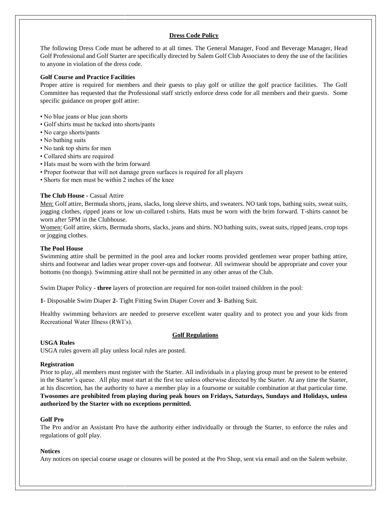# **Dress Code Policy**

The following Dress Code must be adhered to at all times. The General Manager, Food and Beverage Manager, Head Golf Professional and Golf Starter are specifically directed by Salem Golf Club Associates to deny the use of the facilities to anyone in violation of the dress code.

# **Golf Course and Practice Facilities**

Proper attire is required for members and their guests to play golf or utilize the golf practice facilities. The Golf Committee has requested that the Professional staff strictly enforce dress code for all members and their guests. Some specific guidance on proper golf attire:

- No blue jeans or blue jean shorts
- Golf shirts must be tucked into shorts/pants
- No cargo shorts/pants
- No bathing suits
- No tank top shirts for men
- Collared shirts are required
- Hats must be worn with the brim forward
- Proper footwear that will not damage green surfaces is required for all players
- Shorts for men must be within 2 inches of the knee

# **The Club House -** Casual Attire

Men: Golf attire, Bermuda shorts, jeans, slacks, long sleeve shirts, and sweaters. NO tank tops, bathing suits, sweat suits, jogging clothes, ripped jeans or low un-collared t-shirts. Hats must be worn with the brim forward. T-shirts cannot be worn after 5PM in the Clubhouse.

Women: Golf attire, skirts, Bermuda shorts, slacks, jeans and shirts. NO bathing suits, sweat suits, ripped jeans, crop tops or jogging clothes.

# **The Pool House**

Swimming attire shall be permitted in the pool area and locker rooms provided gentlemen wear proper bathing attire, shirts and footwear and ladies wear proper cover-ups and footwear. All swimwear should be appropriate and cover your bottoms (no thongs). Swimming attire shall not be permitted in any other areas of the Club.

Swim Diaper Policy - **three** layers of protection are required for non-toilet trained children in the pool:

**1**- Disposable Swim Diaper **2**- Tight Fitting Swim Diaper Cover and **3**- Bathing Suit.

Healthy swimming behaviors are needed to preserve excellent water quality and to protect you and your kids from Recreational Water Illness (RWI's).

# **Golf Regulations**

## **USGA Rules**

USGA rules govern all play unless local rules are posted.

## **Registration**

Prior to play, all members must register with the Starter. All individuals in a playing group must be present to be entered in the Starter's queue. All play must start at the first tee unless otherwise directed by the Starter. At any time the Starter, at his discretion, has the authority to have a member play in a foursome or suitable combination at that particular time. **Twosomes are prohibited from playing during peak hours on Fridays, Saturdays, Sundays and Holidays, unless authorized by the Starter with no exceptions permitted.** 

## **Golf Pro**

The Pro and/or an Assistant Pro have the authority either individually or through the Starter, to enforce the rules and regulations of golf play.

## **Notices**

Any notices on special course usage or closures will be posted at the Pro Shop, sent via email and on the Salem website.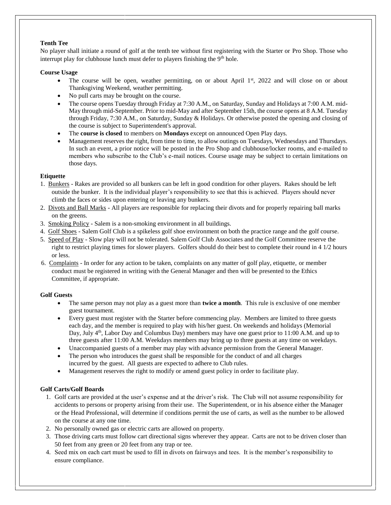# **Tenth Tee**

No player shall initiate a round of golf at the tenth tee without first registering with the Starter or Pro Shop. Those who interrupt play for clubhouse lunch must defer to players finishing the  $9<sup>th</sup>$  hole.

# **Course Usage**

- The course will be open, weather permitting, on or about April 1<sup>st</sup>, 2022 and will close on or about Thanksgiving Weekend, weather permitting.
- No pull carts may be brought on the course.
- The course opens Tuesday through Friday at 7:30 A.M., on Saturday, Sunday and Holidays at 7:00 A.M. mid-May through mid-September. Prior to mid-May and after September 15th, the course opens at 8 A.M. Tuesday through Friday, 7:30 A.M., on Saturday, Sunday & Holidays. Or otherwise posted the opening and closing of the course is subject to Superintendent's approval.
- The **course is closed** to members on **Mondays** except on announced Open Play days.
- Management reserves the right, from time to time, to allow outings on Tuesdays, Wednesdays and Thursdays. In such an event, a prior notice will be posted in the Pro Shop and clubhouse/locker rooms, and e-mailed to members who subscribe to the Club's e-mail notices. Course usage may be subject to certain limitations on those days.

# **Etiquette**

- 1. Bunkers Rakes are provided so all bunkers can be left in good condition for other players. Rakes should be left outside the bunker. It is the individual player's responsibility to see that this is achieved. Players should never climb the faces or sides upon entering or leaving any bunkers.
- 2. Divots and Ball Marks All players are responsible for replacing their divots and for properly repairing ball marks on the greens.
- 3. Smoking Policy Salem is a non-smoking environment in all buildings.
- 4. Golf Shoes Salem Golf Club is a spikeless golf shoe environment on both the practice range and the golf course.
- 5. Speed of Play Slow play will not be tolerated. Salem Golf Club Associates and the Golf Committee reserve the right to restrict playing times for slower players. Golfers should do their best to complete their round in 4 1/2 hours or less.
- 6. Complaints In order for any action to be taken, complaints on any matter of golf play, etiquette, or member conduct must be registered in writing with the General Manager and then will be presented to the Ethics Committee, if appropriate.

# **Golf Guests**

- The same person may not play as a guest more than **twice a month**. This rule is exclusive of one member guest tournament.
- Every guest must register with the Starter before commencing play. Members are limited to three guests each day, and the member is required to play with his/her guest. On weekends and holidays (Memorial Day, July  $4<sup>th</sup>$ , Labor Day and Columbus Day) members may have one guest prior to 11:00 A.M. and up to three guests after 11:00 A.M. Weekdays members may bring up to three guests at any time on weekdays.
- Unaccompanied guests of a member may play with advance permission from the General Manager.
- The person who introduces the guest shall be responsible for the conduct of and all charges incurred by the guest. All guests are expected to adhere to Club rules.
- Management reserves the right to modify or amend guest policy in order to facilitate play.

# **Golf Carts/Golf Boards**

- 1. Golf carts are provided at the user's expense and at the driver's risk. The Club will not assume responsibility for accidents to persons or property arising from their use. The Superintendent, or in his absence either the Manager or the Head Professional, will determine if conditions permit the use of carts, as well as the number to be allowed on the course at any one time.
- 2. No personally owned gas or electric carts are allowed on property.
- 3. Those driving carts must follow cart directional signs wherever they appear. Carts are not to be driven closer than 50 feet from any green or 20 feet from any trap or tee.
- 4. Seed mix on each cart must be used to fill in divots on fairways and tees. It is the member's responsibility to ensure compliance.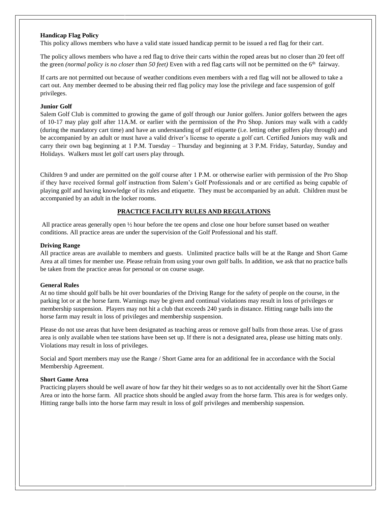## **Handicap Flag Policy**

This policy allows members who have a valid state issued handicap permit to be issued a red flag for their cart.

The policy allows members who have a red flag to drive their carts within the roped areas but no closer than 20 feet off the green *(normal policy is no closer than 50 feet)* Even with a red flag carts will not be permitted on the 6<sup>th</sup> fairway.

If carts are not permitted out because of weather conditions even members with a red flag will not be allowed to take a cart out. Any member deemed to be abusing their red flag policy may lose the privilege and face suspension of golf privileges.

## **Junior Golf**

Salem Golf Club is committed to growing the game of golf through our Junior golfers. Junior golfers between the ages of 10-17 may play golf after 11A.M. or earlier with the permission of the Pro Shop. Juniors may walk with a caddy (during the mandatory cart time) and have an understanding of golf etiquette (i.e. letting other golfers play through) and be accompanied by an adult or must have a valid driver's license to operate a golf cart. Certified Juniors may walk and carry their own bag beginning at 1 P.M. Tuesday – Thursday and beginning at 3 P.M. Friday, Saturday, Sunday and Holidays. Walkers must let golf cart users play through.

Children 9 and under are permitted on the golf course after 1 P.M. or otherwise earlier with permission of the Pro Shop if they have received formal golf instruction from Salem's Golf Professionals and or are certified as being capable of playing golf and having knowledge of its rules and etiquette. They must be accompanied by an adult. Children must be accompanied by an adult in the locker rooms.

# **PRACTICE FACILITY RULES AND REGULATIONS**

All practice areas generally open ½ hour before the tee opens and close one hour before sunset based on weather conditions. All practice areas are under the supervision of the Golf Professional and his staff.

#### **Driving Range**

All practice areas are available to members and guests. Unlimited practice balls will be at the Range and Short Game Area at all times for member use. Please refrain from using your own golf balls. In addition, we ask that no practice balls be taken from the practice areas for personal or on course usage.

#### **General Rules**

At no time should golf balls be hit over boundaries of the Driving Range for the safety of people on the course, in the parking lot or at the horse farm. Warnings may be given and continual violations may result in loss of privileges or membership suspension. Players may not hit a club that exceeds 240 yards in distance. Hitting range balls into the horse farm may result in loss of privileges and membership suspension.

Please do not use areas that have been designated as teaching areas or remove golf balls from those areas. Use of grass area is only available when tee stations have been set up. If there is not a designated area, please use hitting mats only. Violations may result in loss of privileges.

Social and Sport members may use the Range / Short Game area for an additional fee in accordance with the Social Membership Agreement.

#### **Short Game Area**

Practicing players should be well aware of how far they hit their wedges so as to not accidentally over hit the Short Game Area or into the horse farm. All practice shots should be angled away from the horse farm. This area is for wedges only. Hitting range balls into the horse farm may result in loss of golf privileges and membership suspension.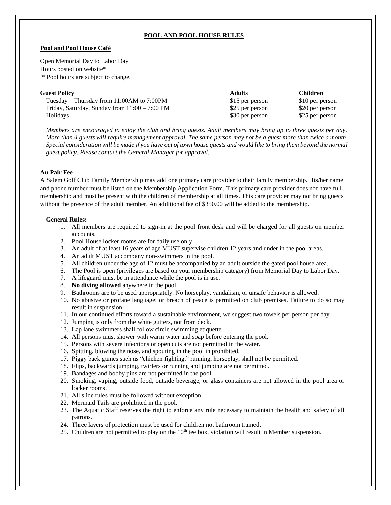# **POOL AND POOL HOUSE RULES**

## **Pool and Pool House Café**

Open Memorial Day to Labor Day Hours posted on website\* \* Pool hours are subject to change.

| <b>Guest Policy</b>                                     | <b>Adults</b>   | <b>Children</b> |
|---------------------------------------------------------|-----------------|-----------------|
| Tuesday – Thursday from 11:00AM to 7:00PM               | \$15 per person | \$10 per person |
| Friday, Saturday, Sunday from $11:00 - 7:00 \text{ PM}$ | \$25 per person | \$20 per person |
| <b>Holidays</b>                                         | \$30 per person | \$25 per person |

*Members are encouraged to enjoy the club and bring guests. Adult members may bring up to three guests per day. More than 4 guests will require management approval. The same person may not be a guest more than twice a month. Special consideration will be made if you have out of town house guests and would like to bring them beyond the normal guest policy. Please contact the General Manager for approval.*

## **Au Pair Fee**

A Salem Golf Club Family Membership may add one primary care provider to their family membership. His/her name and phone number must be listed on the Membership Application Form. This primary care provider does not have full membership and must be present with the children of membership at all times. This care provider may not bring guests without the presence of the adult member. An additional fee of \$350.00 will be added to the membership.

#### **General Rules:**

- 1. All members are required to sign-in at the pool front desk and will be charged for all guests on member accounts.
- 2. Pool House locker rooms are for daily use only.
- 3. An adult of at least 16 years of age MUST supervise children 12 years and under in the pool areas.
- 4. An adult MUST accompany non-swimmers in the pool.
- 5. All children under the age of 12 must be accompanied by an adult outside the gated pool house area.
- 6. The Pool is open (privileges are based on your membership category) from Memorial Day to Labor Day.
- 7. A lifeguard must be in attendance while the pool is in use.
- 8. **No diving allowed** anywhere in the pool.
- 9. Bathrooms are to be used appropriately. No horseplay, vandalism, or unsafe behavior is allowed.
- 10. No abusive or profane language; or breach of peace is permitted on club premises. Failure to do so may result in suspension.
- 11. In our continued efforts toward a sustainable environment, we suggest two towels per person per day.
- 12. Jumping is only from the white gutters, not from deck.
- 13. Lap lane swimmers shall follow circle swimming etiquette.
- 14. All persons must shower with warm water and soap before entering the pool.
- 15. Persons with severe infections or open cuts are not permitted in the water.
- 16. Spitting, blowing the nose, and spouting in the pool in prohibited.
- 17. Piggy back games such as "chicken fighting," running, horseplay, shall not be permitted.
- 18. Flips, backwards jumping, twirlers or running and jumping are not permitted.
- 19. Bandages and bobby pins are not permitted in the pool.
- 20. Smoking, vaping, outside food, outside beverage, or glass containers are not allowed in the pool area or locker rooms.
- 21. All slide rules must be followed without exception.
- 22. Mermaid Tails are prohibited in the pool.
- 23. The Aquatic Staff reserves the right to enforce any rule necessary to maintain the health and safety of all patrons.
- 24. Three layers of protection must be used for children not bathroom trained.
- 25. Children are not permitted to play on the  $10<sup>th</sup>$  tee box, violation will result in Member suspension.